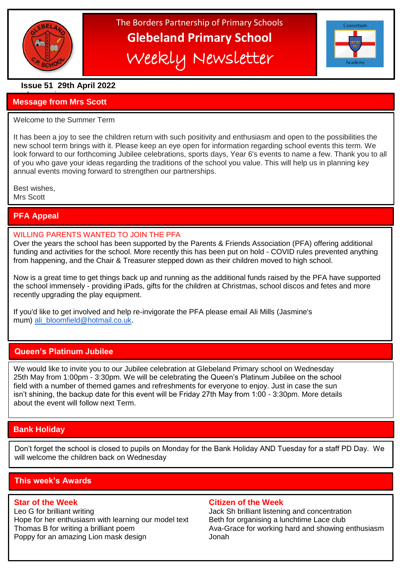

֦

# The Borders Partnership of Primary Schools **Glebeland Primary School** Weekly Newsletter



# **Issue 51 29th April 2022**

#### a bumper issues in the second second in the second second second in the second second second in the second second second second second second second second second second second second second second second second second sec **Message from Mrs Scott**

#### Welcome to the Summer Term

It has been a joy to see the children return with such positivity and enthusiasm and open to the possibilities the new school term brings with it. Please keep an eye open for information regarding school events this term. We look forward to our forthcoming Jubilee celebrations, sports days, Year 6's events to name a few. Thank you to all of you who gave your ideas regarding the traditions of the school you value. This will help us in planning key annual events moving forward to strengthen our partnerships.

Best wishes, Mrs Scott

# **PFA Appeal**

## WILLING PARENTS WANTED TO JOIN THE PFA

Over the years the school has been supported by the Parents & Friends Association (PFA) offering additional funding and activities for the school. More recently this has been put on hold - COVID rules prevented anything from happening, and the Chair & Treasurer stepped down as their children moved to high school.

 recently upgrading the play equipment. Now is a great time to get things back up and running as the additional funds raised by the PFA have supported the school immensely - providing iPads, gifts for the children at Christmas, school discos and fetes and more

If you'd like to get involved and help re-invigorate the PFA please email Ali Mills (Jasmine's mum) [ali\\_bloomfield@hotmail.co.uk.](mailto:ali_bloomfield@hotmail.co.uk)

# **Queen's Platinum Jubilee**

We would like to invite you to our Jubilee celebration at Glebeland Primary school on Wednesday 25th May from 1:00pm - 3:30pm. We will be celebrating the Queen's Platinum Jubilee on the school field with a number of themed games and refreshments for everyone to enjoy. Just in case the sun isn't shining, the backup date for this event will be Friday 27th May from 1:00 - 3:30pm. More details about the event will follow next Term.

# **Bank Holiday**

Don't forget the school is closed to pupils on Monday for the Bank Holiday AND Tuesday for a staff PD Day. We will welcome the children back on Wednesday

# **This week's Awards**

Leo G for brilliant writing Theorem Concentration Jack Sh brilliant listening and concentration Hope for her enthusiasm with learning our model text Beth for organising a lunchtime Lace club Thomas B for writing a brilliant poem Ava-Grace for working hard and showing enthusiasm Poppy for an amazing Lion mask design Franch Monah

#### **Star of the Week Citizen of the Week**